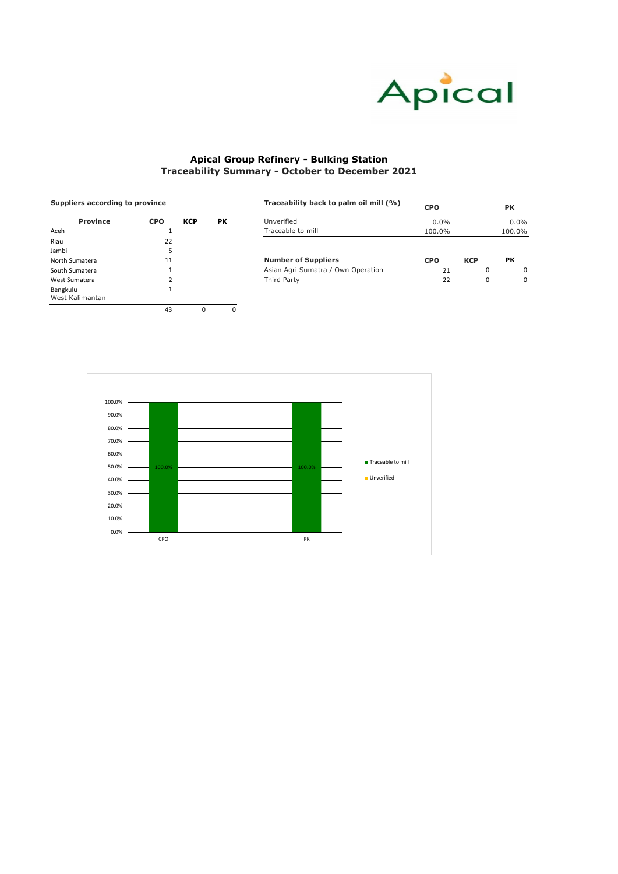| Traceability back to palm oil mill (%) |  |  |  |
|----------------------------------------|--|--|--|
|                                        |  |  |  |

|                 |            |            |           |                                    | <b>CPO</b> |            | <b>PK</b> |
|-----------------|------------|------------|-----------|------------------------------------|------------|------------|-----------|
| <b>Province</b> | <b>CPO</b> | <b>KCP</b> | <b>PK</b> | Unverified                         | 0.0%       |            | $0.0\%$   |
| Aceh            |            |            |           | Traceable to mill                  | 100.0%     |            | 100.0%    |
| Riau            | 22         |            |           |                                    |            |            |           |
| Jambi           | ל          |            |           |                                    |            |            |           |
| North Sumatera  | 11         |            |           | <b>Number of Suppliers</b>         | <b>CPO</b> | <b>KCP</b> | <b>PK</b> |
| South Sumatera  |            |            |           | Asian Agri Sumatra / Own Operation | 21         | 0          | 0         |
| West Sumatera   | ∠          |            |           | Third Party                        | 22         | 0          | 0         |
| Bengkulu        |            |            |           |                                    |            |            |           |

| <b>Province</b> | <b>CPO</b> | <b>KCP</b> | <b>PK</b> |
|-----------------|------------|------------|-----------|
| Aceh            | 1          |            |           |
| Riau            | 22         |            |           |
| Jambi           | 5          |            |           |
| North Sumatera  | 11         |            |           |
| South Sumatera  | 1          |            |           |
| West Sumatera   | 2          |            |           |
| Bengkulu        | 1          |            |           |
| West Kalimantan |            |            |           |
|                 | 43         |            |           |



## **Apical Group Refinery - Bulking Station Traceability Summary - October to December 2021**

## **Suppliers according to province**

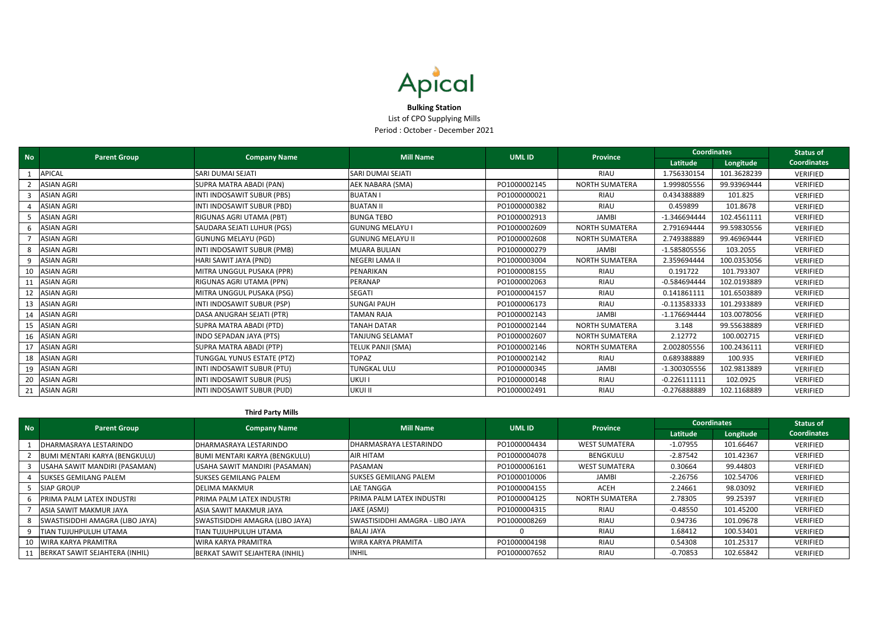| <b>No</b> | <b>Parent Group</b> | <b>Company Name</b>        | <b>Mill Name</b>         | <b>UMLID</b> | <b>Coordinates</b><br><b>Province</b> |                |             | <b>Status of</b>   |
|-----------|---------------------|----------------------------|--------------------------|--------------|---------------------------------------|----------------|-------------|--------------------|
|           |                     |                            |                          |              |                                       | Latitude       | Longitude   | <b>Coordinates</b> |
|           | <b>APICAL</b>       | <b>SARI DUMAI SEJATI</b>   | <b>SARI DUMAI SEJATI</b> |              | RIAU                                  | 1.756330154    | 101.3628239 | VERIFIED           |
|           | <b>ASIAN AGRI</b>   | SUPRA MATRA ABADI (PAN)    | AEK NABARA (SMA)         | PO1000002145 | NORTH SUMATERA                        | 1.999805556    | 99.93969444 | VERIFIED           |
|           | <b>ASIAN AGRI</b>   | INTI INDOSAWIT SUBUR (PBS) | <b>BUATAN I</b>          | PO1000000021 | RIAU                                  | 0.434388889    | 101.825     | VERIFIED           |
|           | <b>ASIAN AGRI</b>   | INTI INDOSAWIT SUBUR (PBD) | <b>BUATAN II</b>         | PO1000000382 | <b>RIAU</b>                           | 0.459899       | 101.8678    | VERIFIED           |
|           | <b>ASIAN AGRI</b>   | RIGUNAS AGRI UTAMA (PBT)   | <b>BUNGA TEBO</b>        | PO1000002913 | <b>JAMBI</b>                          | -1.346694444   | 102.4561111 | VERIFIED           |
|           | <b>ASIAN AGRI</b>   | SAUDARA SEJATI LUHUR (PGS) | <b>GUNUNG MELAYU I</b>   | PO1000002609 | NORTH SUMATERA                        | 2.791694444    | 99.59830556 | VERIFIED           |
|           | <b>ASIAN AGRI</b>   | <b>GUNUNG MELAYU (PGD)</b> | <b>GUNUNG MELAYU II</b>  | PO1000002608 | <b>NORTH SUMATERA</b>                 | 2.749388889    | 99.46969444 | VERIFIED           |
|           | <b>ASIAN AGRI</b>   | INTI INDOSAWIT SUBUR (PMB) | MUARA BULIAN             | PO1000000279 | <b>JAMBI</b>                          | -1.585805556   | 103.2055    | VERIFIED           |
|           | <b>ASIAN AGRI</b>   | HARI SAWIT JAYA (PND)      | NEGERI LAMA II           | PO1000003004 | NORTH SUMATERA                        | 2.359694444    | 100.0353056 | VERIFIED           |
| 10        | <b>ASIAN AGRI</b>   | MITRA UNGGUL PUSAKA (PPR)  | PENARIKAN                | PO1000008155 | RIAU                                  | 0.191722       | 101.793307  | VERIFIED           |
| 11        | <b>ASIAN AGRI</b>   | RIGUNAS AGRI UTAMA (PPN)   | PERANAP                  | PO1000002063 | RIAU                                  | $-0.584694444$ | 102.0193889 | VERIFIED           |
| 12        | <b>ASIAN AGRI</b>   | MITRA UNGGUL PUSAKA (PSG)  | <b>SEGATI</b>            | PO1000004157 | RIAU                                  | 0.141861111    | 101.6503889 | VERIFIED           |
| 13        | <b>ASIAN AGRI</b>   | INTI INDOSAWIT SUBUR (PSP) | <b>SUNGAI PAUH</b>       | PO1000006173 | RIAU                                  | $-0.113583333$ | 101.2933889 | VERIFIED           |
| 14        | <b>ASIAN AGRI</b>   | DASA ANUGRAH SEJATI (PTR)  | <b>TAMAN RAJA</b>        | PO1000002143 | JAMBI                                 | $-1.176694444$ | 103.0078056 | VERIFIED           |
| 15        | <b>ASIAN AGRI</b>   | SUPRA MATRA ABADI (PTD)    | <b>TANAH DATAR</b>       | PO1000002144 | <b>NORTH SUMATERA</b>                 | 3.148          | 99.55638889 | VERIFIED           |
| 16        | <b>ASIAN AGRI</b>   | INDO SEPADAN JAYA (PTS)    | <b>TANJUNG SELAMAT</b>   | PO1000002607 | <b>NORTH SUMATERA</b>                 | 2.12772        | 100.002715  | VERIFIED           |
| 17        | <b>ASIAN AGRI</b>   | SUPRA MATRA ABADI (PTP)    | <b>TELUK PANJI (SMA)</b> | PO1000002146 | <b>NORTH SUMATERA</b>                 | 2.002805556    | 100.2436111 | VERIFIED           |
| 18        | <b>ASIAN AGRI</b>   | TUNGGAL YUNUS ESTATE (PTZ) | <b>TOPAZ</b>             | PO1000002142 | RIAU                                  | 0.689388889    | 100.935     | <b>VERIFIED</b>    |
| 19        | <b>ASIAN AGRI</b>   | INTI INDOSAWIT SUBUR (PTU) | <b>TUNGKAL ULU</b>       | PO1000000345 | <b>JAMBI</b>                          | -1.300305556   | 102.9813889 | VERIFIED           |
| 20        | <b>ASIAN AGRI</b>   | INTI INDOSAWIT SUBUR (PUS) | <b>UKUI I</b>            | PO1000000148 | RIAU                                  | $-0.226111111$ | 102.0925    | VERIFIED           |
| 21        | <b>ASIAN AGRI</b>   | INTI INDOSAWIT SUBUR (PUD) | UKUI II                  | PO1000002491 | RIAU                                  | -0.276888889   | 102.1168889 | <b>VERIFIED</b>    |

## **Third Party Mills**

| <b>No</b> | <b>Parent Group</b>             | <b>Company Name</b>                  | <b>Mill Name</b>                 | <b>UMLID</b> | <b>Province</b>       | <b>Coordinates</b> |           | <b>Status of</b>   |
|-----------|---------------------------------|--------------------------------------|----------------------------------|--------------|-----------------------|--------------------|-----------|--------------------|
|           |                                 |                                      |                                  |              |                       | Latitude           | Longitude | <b>Coordinates</b> |
|           | DHARMASRAYA LESTARINDO          | DHARMASRAYA LESTARINDO               | DHARMASRAYA LESTARINDO           | PO1000004434 | <b>WEST SUMATERA</b>  | $-1.07955$         | 101.66467 | VERIFIED           |
|           | BUMI MENTARI KARYA (BENGKULU)   | <b>BUMI MENTARI KARYA (BENGKULU)</b> | AIR HITAM                        | PO1000004078 | <b>BENGKULU</b>       | $-2.87542$         | 101.42367 | VERIFIED           |
|           | USAHA SAWIT MANDIRI (PASAMAN)   | USAHA SAWIT MANDIRI (PASAMAN)        | IPASAMAN                         | PO1000006161 | <b>WEST SUMATERA</b>  | 0.30664            | 99.44803  | VERIFIED           |
|           | <b>SUKSES GEMILANG PALEM</b>    | <b>SUKSES GEMILANG PALEM</b>         | <b>SUKSES GEMILANG PALEM</b>     | PO1000010006 | JAMBI                 | $-2.26756$         | 102.54706 | VERIFIED           |
|           | <b>SIAP GROUP</b>               | DELIMA MAKMUR                        | <b>LAE TANGGA</b>                | PO1000004155 | <b>ACEH</b>           | 2.24661            | 98.03092  | VERIFIED           |
|           | IPRIMA PALM LATEX INDUSTRI      | PRIMA PALM LATEX INDUSTRI            | <b>PRIMA PALM LATEX INDUSTRI</b> | PO1000004125 | <b>NORTH SUMATERA</b> | 2.78305            | 99.25397  | VERIFIED           |
|           | ASIA SAWIT MAKMUR JAYA          | ASIA SAWIT MAKMUR JAYA               | JAKE (ASMJ)                      | PO1000004315 | RIAU                  | $-0.48550$         | 101.45200 | VERIFIED           |
|           | SWASTISIDDHI AMAGRA (LIBO JAYA) | SWASTISIDDHI AMAGRA (LIBO JAYA)      | SWASTISIDDHI AMAGRA - LIBO JAYA  | PO1000008269 | <b>RIAU</b>           | 0.94736            | 101.09678 | VERIFIED           |
|           | <b>ITIAN TUJUHPULUH UTAMA</b>   | TIAN TUJUHPULUH UTAMA                | IBALAI JAYA                      |              | RIAU                  | 1.68412            | 100.53401 | VERIFIED           |
| 10        | WIRA KARYA PRAMITRA             | WIRA KARYA PRAMITRA                  | WIRA KARYA PRAMITA               | PO1000004198 | RIAU                  | 0.54308            | 101.25317 | VERIFIED           |
|           | BERKAT SAWIT SEJAHTERA (INHIL)  | BERKAT SAWIT SEJAHTERA (INHIL)       | <b>INHIL</b>                     | PO1000007652 | <b>RIAU</b>           | $-0.70853$         | 102.65842 | VERIFIED           |



## **Bulking Station** List of CPO Supplying Mills Period : October - December 2021